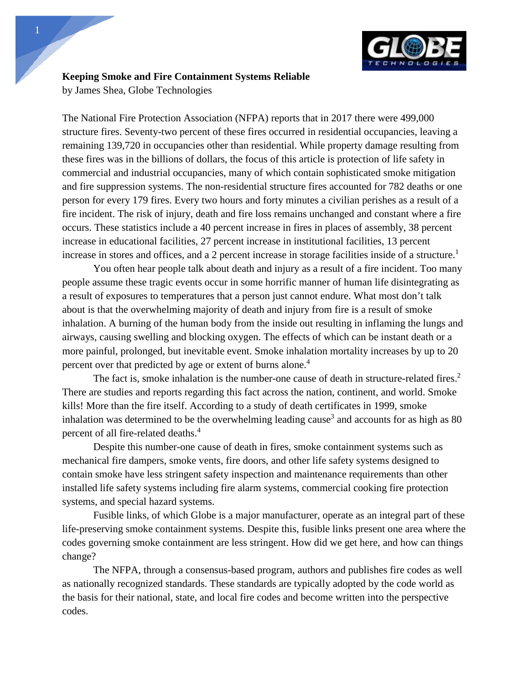

**Keeping Smoke and Fire Containment Systems Reliable**

by James Shea, Globe Technologies

The National Fire Protection Association (NFPA) reports that in 2017 there were 499,000 structure fires. Seventy-two percent of these fires occurred in residential occupancies, leaving a remaining 139,720 in occupancies other than residential. While property damage resulting from these fires was in the billions of dollars, the focus of this article is protection of life safety in commercial and industrial occupancies, many of which contain sophisticated smoke mitigation and fire suppression systems. The non-residential structure fires accounted for 782 deaths or one person for every 179 fires. Every two hours and forty minutes a civilian perishes as a result of a fire incident. The risk of injury, death and fire loss remains unchanged and constant where a fire occurs. These statistics include a 40 percent increase in fires in places of assembly, 38 percent increase in educational facilities, 27 percent increase in institutional facilities, 13 percent increase in stores and offices, and a 2 percent increase in storage facilities inside of a structure.<sup>1</sup>

You often hear people talk about death and injury as a result of a fire incident. Too many people assume these tragic events occur in some horrific manner of human life disintegrating as a result of exposures to temperatures that a person just cannot endure. What most don't talk about is that the overwhelming majority of death and injury from fire is a result of smoke inhalation. A burning of the human body from the inside out resulting in inflaming the lungs and airways, causing swelling and blocking oxygen. The effects of which can be instant death or a more painful, prolonged, but inevitable event. Smoke inhalation mortality increases by up to 20 percent over that predicted by age or extent of burns alone.<sup>4</sup>

The fact is, smoke inhalation is the number-one cause of death in structure-related fires.<sup>2</sup> There are studies and reports regarding this fact across the nation, continent, and world. Smoke kills! More than the fire itself. According to a study of death certificates in 1999, smoke inhalation was determined to be the overwhelming leading cause<sup>3</sup> and accounts for as high as 80 percent of all fire-related deaths.4

Despite this number-one cause of death in fires, smoke containment systems such as mechanical fire dampers, smoke vents, fire doors, and other life safety systems designed to contain smoke have less stringent safety inspection and maintenance requirements than other installed life safety systems including fire alarm systems, commercial cooking fire protection systems, and special hazard systems.

Fusible links, of which Globe is a major manufacturer, operate as an integral part of these life-preserving smoke containment systems. Despite this, fusible links present one area where the codes governing smoke containment are less stringent. How did we get here, and how can things change?

The NFPA, through a consensus-based program, authors and publishes fire codes as well as nationally recognized standards. These standards are typically adopted by the code world as the basis for their national, state, and local fire codes and become written into the perspective codes.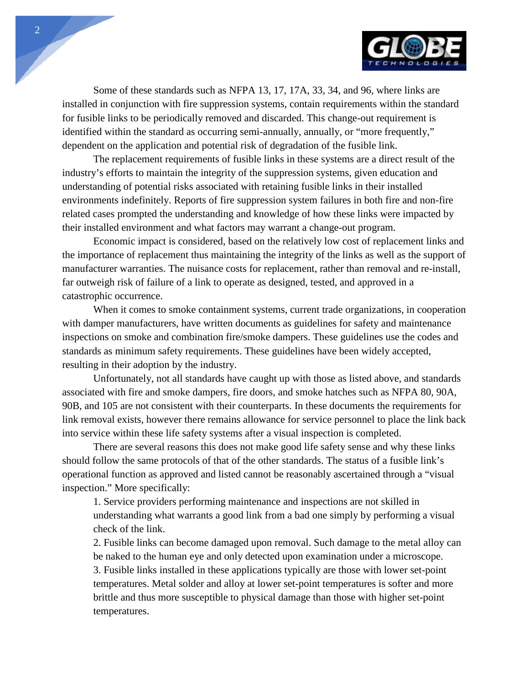

Some of these standards such as NFPA 13, 17, 17A, 33, 34, and 96, where links are installed in conjunction with fire suppression systems, contain requirements within the standard for fusible links to be periodically removed and discarded. This change-out requirement is identified within the standard as occurring semi-annually, annually, or "more frequently," dependent on the application and potential risk of degradation of the fusible link.

The replacement requirements of fusible links in these systems are a direct result of the industry's efforts to maintain the integrity of the suppression systems, given education and understanding of potential risks associated with retaining fusible links in their installed environments indefinitely. Reports of fire suppression system failures in both fire and non-fire related cases prompted the understanding and knowledge of how these links were impacted by their installed environment and what factors may warrant a change-out program.

Economic impact is considered, based on the relatively low cost of replacement links and the importance of replacement thus maintaining the integrity of the links as well as the support of manufacturer warranties. The nuisance costs for replacement, rather than removal and re-install, far outweigh risk of failure of a link to operate as designed, tested, and approved in a catastrophic occurrence.

When it comes to smoke containment systems, current trade organizations, in cooperation with damper manufacturers, have written documents as guidelines for safety and maintenance inspections on smoke and combination fire/smoke dampers. These guidelines use the codes and standards as minimum safety requirements. These guidelines have been widely accepted, resulting in their adoption by the industry.

Unfortunately, not all standards have caught up with those as listed above, and standards associated with fire and smoke dampers, fire doors, and smoke hatches such as NFPA 80, 90A, 90B, and 105 are not consistent with their counterparts. In these documents the requirements for link removal exists, however there remains allowance for service personnel to place the link back into service within these life safety systems after a visual inspection is completed.

There are several reasons this does not make good life safety sense and why these links should follow the same protocols of that of the other standards. The status of a fusible link's operational function as approved and listed cannot be reasonably ascertained through a "visual inspection." More specifically:

1. Service providers performing maintenance and inspections are not skilled in understanding what warrants a good link from a bad one simply by performing a visual check of the link.

2. Fusible links can become damaged upon removal. Such damage to the metal alloy can be naked to the human eye and only detected upon examination under a microscope. 3. Fusible links installed in these applications typically are those with lower set-point temperatures. Metal solder and alloy at lower set-point temperatures is softer and more brittle and thus more susceptible to physical damage than those with higher set-point temperatures.

2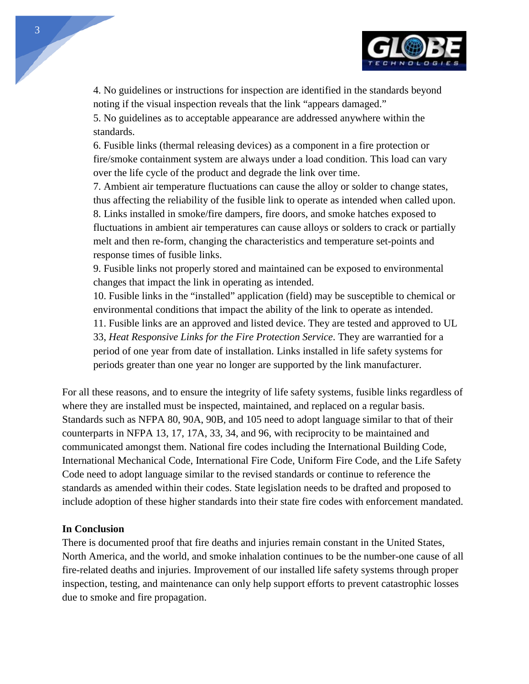

4. No guidelines or instructions for inspection are identified in the standards beyond noting if the visual inspection reveals that the link "appears damaged."

5. No guidelines as to acceptable appearance are addressed anywhere within the standards.

6. Fusible links (thermal releasing devices) as a component in a fire protection or fire/smoke containment system are always under a load condition. This load can vary over the life cycle of the product and degrade the link over time.

7. Ambient air temperature fluctuations can cause the alloy or solder to change states, thus affecting the reliability of the fusible link to operate as intended when called upon. 8. Links installed in smoke/fire dampers, fire doors, and smoke hatches exposed to fluctuations in ambient air temperatures can cause alloys or solders to crack or partially melt and then re-form, changing the characteristics and temperature set-points and response times of fusible links.

9. Fusible links not properly stored and maintained can be exposed to environmental changes that impact the link in operating as intended.

10. Fusible links in the "installed" application (field) may be susceptible to chemical or environmental conditions that impact the ability of the link to operate as intended.

11. Fusible links are an approved and listed device. They are tested and approved to UL

33, *Heat Responsive Links for the Fire Protection Service*. They are warrantied for a period of one year from date of installation. Links installed in life safety systems for periods greater than one year no longer are supported by the link manufacturer.

For all these reasons, and to ensure the integrity of life safety systems, fusible links regardless of where they are installed must be inspected, maintained, and replaced on a regular basis. Standards such as NFPA 80, 90A, 90B, and 105 need to adopt language similar to that of their counterparts in NFPA 13, 17, 17A, 33, 34, and 96, with reciprocity to be maintained and communicated amongst them. National fire codes including the International Building Code, International Mechanical Code, International Fire Code, Uniform Fire Code, and the Life Safety Code need to adopt language similar to the revised standards or continue to reference the standards as amended within their codes. State legislation needs to be drafted and proposed to include adoption of these higher standards into their state fire codes with enforcement mandated.

## **In Conclusion**

There is documented proof that fire deaths and injuries remain constant in the United States, North America, and the world, and smoke inhalation continues to be the number-one cause of all fire-related deaths and injuries. Improvement of our installed life safety systems through proper inspection, testing, and maintenance can only help support efforts to prevent catastrophic losses due to smoke and fire propagation.